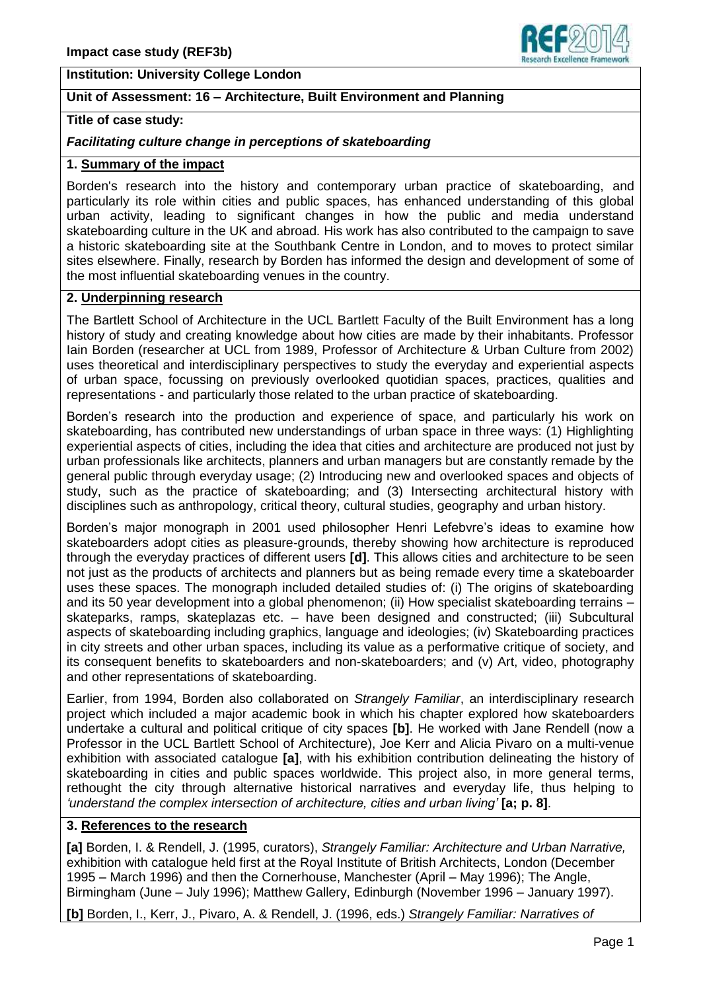### **Institution: University College London**

# **Unit of Assessment: 16 – Architecture, Built Environment and Planning**

# **Title of case study:**

#### *Facilitating culture change in perceptions of skateboarding*

### **1. Summary of the impact**

Borden's research into the history and contemporary urban practice of skateboarding, and particularly its role within cities and public spaces, has enhanced understanding of this global urban activity, leading to significant changes in how the public and media understand skateboarding culture in the UK and abroad. His work has also contributed to the campaign to save a historic skateboarding site at the Southbank Centre in London, and to moves to protect similar sites elsewhere. Finally, research by Borden has informed the design and development of some of the most influential skateboarding venues in the country.

### **2. Underpinning research**

The Bartlett School of Architecture in the UCL Bartlett Faculty of the Built Environment has a long history of study and creating knowledge about how cities are made by their inhabitants. Professor Iain Borden (researcher at UCL from 1989, Professor of Architecture & Urban Culture from 2002) uses theoretical and interdisciplinary perspectives to study the everyday and experiential aspects of urban space, focussing on previously overlooked quotidian spaces, practices, qualities and representations - and particularly those related to the urban practice of skateboarding.

Borden's research into the production and experience of space, and particularly his work on skateboarding, has contributed new understandings of urban space in three ways: (1) Highlighting experiential aspects of cities, including the idea that cities and architecture are produced not just by urban professionals like architects, planners and urban managers but are constantly remade by the general public through everyday usage; (2) Introducing new and overlooked spaces and objects of study, such as the practice of skateboarding; and (3) Intersecting architectural history with disciplines such as anthropology, critical theory, cultural studies, geography and urban history.

Borden's major monograph in 2001 used philosopher Henri Lefebvre's ideas to examine how skateboarders adopt cities as pleasure-grounds, thereby showing how architecture is reproduced through the everyday practices of different users **[d]**. This allows cities and architecture to be seen not just as the products of architects and planners but as being remade every time a skateboarder uses these spaces. The monograph included detailed studies of: (i) The origins of skateboarding and its 50 year development into a global phenomenon; (ii) How specialist skateboarding terrains – skateparks, ramps, skateplazas etc. – have been designed and constructed; (iii) Subcultural aspects of skateboarding including graphics, language and ideologies; (iv) Skateboarding practices in city streets and other urban spaces, including its value as a performative critique of society, and its consequent benefits to skateboarders and non-skateboarders; and (v) Art, video, photography and other representations of skateboarding.

Earlier, from 1994, Borden also collaborated on *Strangely Familiar*, an interdisciplinary research project which included a major academic book in which his chapter explored how skateboarders undertake a cultural and political critique of city spaces **[b]**. He worked with Jane Rendell (now a Professor in the UCL Bartlett School of Architecture), Joe Kerr and Alicia Pivaro on a multi-venue exhibition with associated catalogue **[a]**, with his exhibition contribution delineating the history of skateboarding in cities and public spaces worldwide. This project also, in more general terms, rethought the city through alternative historical narratives and everyday life, thus helping to *'understand the complex intersection of architecture, cities and urban living'* **[a; p. 8]**.

# **3. References to the research**

**[a]** Borden, I. & Rendell, J. (1995, curators), *Strangely Familiar: Architecture and Urban Narrative,* exhibition with catalogue held first at the Royal Institute of British Architects, London (December 1995 – March 1996) and then the Cornerhouse, Manchester (April – May 1996); The Angle, Birmingham (June – July 1996); Matthew Gallery, Edinburgh (November 1996 – January 1997).

**[b]** Borden, I., Kerr, J., Pivaro, A. & Rendell, J. (1996, eds.) *Strangely Familiar: Narratives of* 

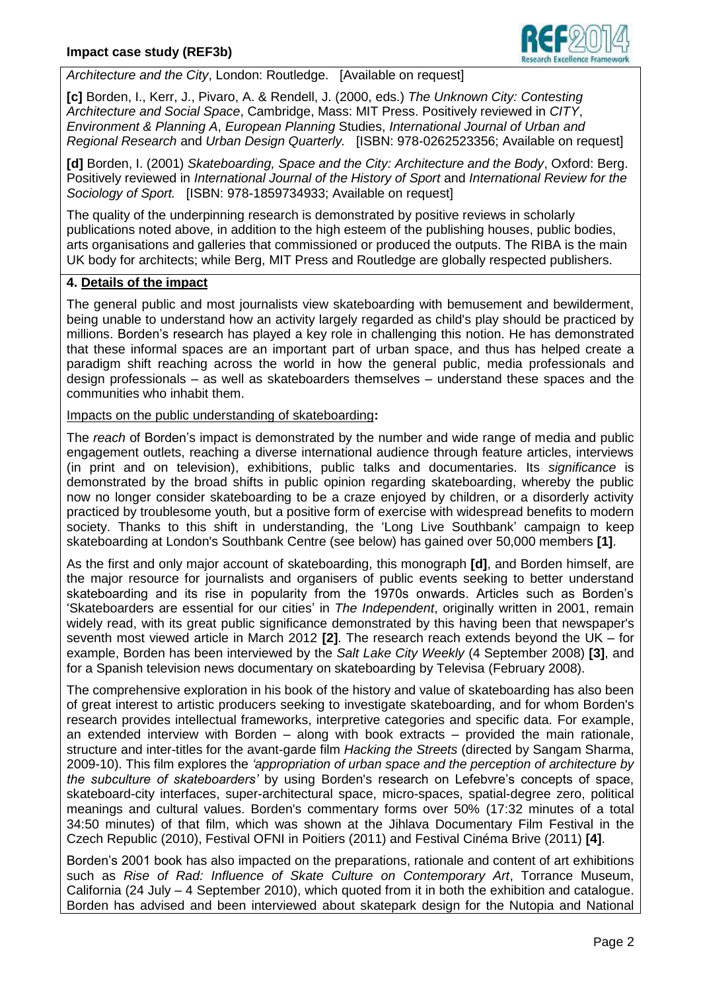

*Architecture and the City*, London: Routledge. [Available on request]

**[c]** Borden, I., Kerr, J., Pivaro, A. & Rendell, J. (2000, eds.) *The Unknown City: Contesting Architecture and Social Space*, Cambridge, Mass: MIT Press. Positively reviewed in *CITY*, *Environment & Planning A*, *European Planning* Studies, *International Journal of Urban and Regional Research* and *Urban Design Quarterly.* [ISBN: 978-0262523356; Available on request]

**[d]** Borden, I. (2001) *Skateboarding, Space and the City: Architecture and the Body*, Oxford: Berg. Positively reviewed in *International Journal of the History of Sport* and *International Review for the Sociology of Sport.* [ISBN: 978-1859734933; Available on request]

The quality of the underpinning research is demonstrated by positive reviews in scholarly publications noted above, in addition to the high esteem of the publishing houses, public bodies, arts organisations and galleries that commissioned or produced the outputs. The RIBA is the main UK body for architects; while Berg, MIT Press and Routledge are globally respected publishers.

## **4. Details of the impact**

The general public and most journalists view skateboarding with bemusement and bewilderment, being unable to understand how an activity largely regarded as child's play should be practiced by millions. Borden's research has played a key role in challenging this notion. He has demonstrated that these informal spaces are an important part of urban space, and thus has helped create a paradigm shift reaching across the world in how the general public, media professionals and design professionals – as well as skateboarders themselves – understand these spaces and the communities who inhabit them.

Impacts on the public understanding of skateboarding**:**

The *reach* of Borden's impact is demonstrated by the number and wide range of media and public engagement outlets, reaching a diverse international audience through feature articles, interviews (in print and on television), exhibitions, public talks and documentaries. Its *significance* is demonstrated by the broad shifts in public opinion regarding skateboarding, whereby the public now no longer consider skateboarding to be a craze enjoyed by children, or a disorderly activity practiced by troublesome youth, but a positive form of exercise with widespread benefits to modern society. Thanks to this shift in understanding, the 'Long Live Southbank' campaign to keep skateboarding at London's Southbank Centre (see below) has gained over 50,000 members **[1]**.

As the first and only major account of skateboarding, this monograph **[d]**, and Borden himself, are the major resource for journalists and organisers of public events seeking to better understand skateboarding and its rise in popularity from the 1970s onwards. Articles such as Borden's 'Skateboarders are essential for our cities' in *The Independent*, originally written in 2001, remain widely read, with its great public significance demonstrated by this having been that newspaper's seventh most viewed article in March 2012 **[2]**. The research reach extends beyond the UK – for example, Borden has been interviewed by the *Salt Lake City Weekly* (4 September 2008) **[3]**, and for a Spanish television news documentary on skateboarding by Televisa (February 2008).

The comprehensive exploration in his book of the history and value of skateboarding has also been of great interest to artistic producers seeking to investigate skateboarding, and for whom Borden's research provides intellectual frameworks, interpretive categories and specific data. For example, an extended interview with Borden – along with book extracts – provided the main rationale, structure and inter-titles for the avant-garde film *Hacking the Streets* (directed by Sangam Sharma, 2009-10). This film explores the *'appropriation of urban space and the perception of architecture by the subculture of skateboarders'* by using Borden's research on Lefebvre's concepts of space, skateboard-city interfaces, super-architectural space, micro-spaces, spatial-degree zero, political meanings and cultural values. Borden's commentary forms over 50% (17:32 minutes of a total 34:50 minutes) of that film, which was shown at the Jihlava Documentary Film Festival in the Czech Republic (2010), Festival OFNI in Poitiers (2011) and Festival Cinéma Brive (2011) **[4]**.

Borden's 2001 book has also impacted on the preparations, rationale and content of art exhibitions such as *Rise of Rad: Influence of Skate Culture on Contemporary Art*, Torrance Museum, California (24 July – 4 September 2010), which quoted from it in both the exhibition and catalogue. Borden has advised and been interviewed about skatepark design for the Nutopia and National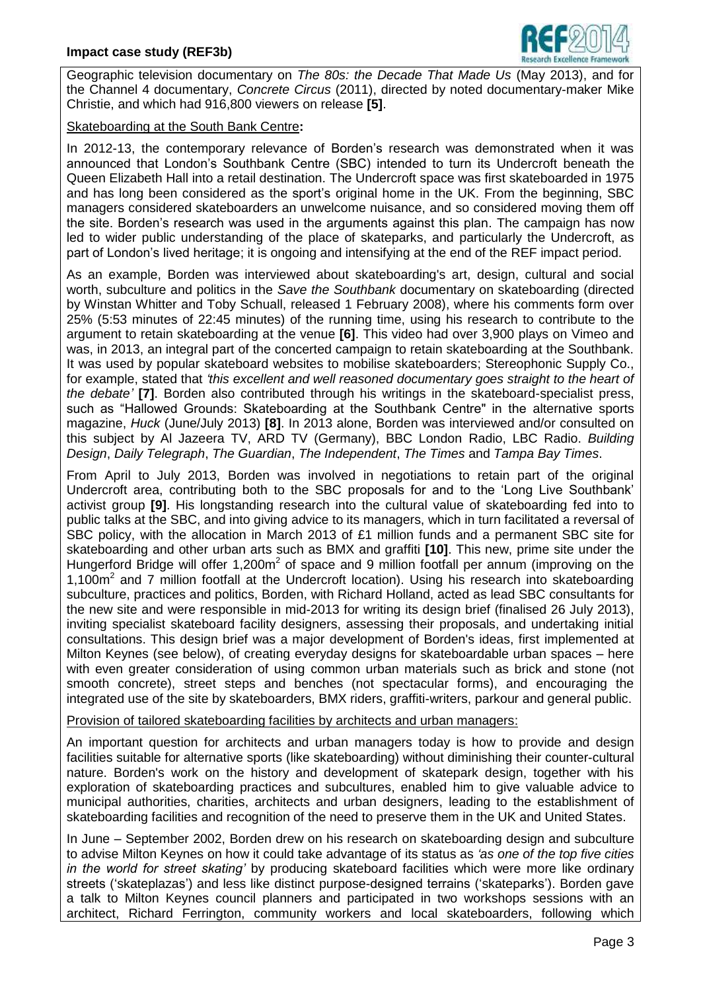

Geographic television documentary on *The 80s: the Decade That Made Us* (May 2013), and for the Channel 4 documentary, *Concrete Circus* (2011), directed by noted documentary-maker Mike Christie, and which had 916,800 viewers on release **[5]**.

### Skateboarding at the South Bank Centre**:**

In 2012-13, the contemporary relevance of Borden's research was demonstrated when it was announced that London's Southbank Centre (SBC) intended to turn its Undercroft beneath the Queen Elizabeth Hall into a retail destination. The Undercroft space was first skateboarded in 1975 and has long been considered as the sport's original home in the UK. From the beginning, SBC managers considered skateboarders an unwelcome nuisance, and so considered moving them off the site. Borden's research was used in the arguments against this plan. The campaign has now led to wider public understanding of the place of skateparks, and particularly the Undercroft, as part of London's lived heritage; it is ongoing and intensifying at the end of the REF impact period.

As an example, Borden was interviewed about skateboarding's art, design, cultural and social worth, subculture and politics in the *Save the Southbank* documentary on skateboarding (directed by Winstan Whitter and Toby Schuall, released 1 February 2008), where his comments form over 25% (5:53 minutes of 22:45 minutes) of the running time, using his research to contribute to the argument to retain skateboarding at the venue **[6]**. This video had over 3,900 plays on Vimeo and was, in 2013, an integral part of the concerted campaign to retain skateboarding at the Southbank. It was used by popular skateboard websites to mobilise skateboarders; Stereophonic Supply Co., for example, stated that *'this excellent and well reasoned documentary goes straight to the heart of the debate'* **[7]**. Borden also contributed through his writings in the skateboard-specialist press, such as "Hallowed Grounds: Skateboarding at the Southbank Centre" in the alternative sports magazine, *Huck* (June/July 2013) **[8]**. In 2013 alone, Borden was interviewed and/or consulted on this subject by Al Jazeera TV, ARD TV (Germany), BBC London Radio, LBC Radio. *Building Design*, *Daily Telegraph*, *The Guardian*, *The Independent*, *The Times* and *Tampa Bay Times*.

From April to July 2013, Borden was involved in negotiations to retain part of the original Undercroft area, contributing both to the SBC proposals for and to the 'Long Live Southbank' activist group **[9]**. His longstanding research into the cultural value of skateboarding fed into to public talks at the SBC, and into giving advice to its managers, which in turn facilitated a reversal of SBC policy, with the allocation in March 2013 of £1 million funds and a permanent SBC site for skateboarding and other urban arts such as BMX and graffiti **[10]**. This new, prime site under the Hungerford Bridge will offer  $1,200m^2$  of space and 9 million footfall per annum (improving on the 1,100m<sup>2</sup> and 7 million footfall at the Undercroft location). Using his research into skateboarding subculture, practices and politics, Borden, with Richard Holland, acted as lead SBC consultants for the new site and were responsible in mid-2013 for writing its design brief (finalised 26 July 2013), inviting specialist skateboard facility designers, assessing their proposals, and undertaking initial consultations. This design brief was a major development of Borden's ideas, first implemented at Milton Keynes (see below), of creating everyday designs for skateboardable urban spaces – here with even greater consideration of using common urban materials such as brick and stone (not smooth concrete), street steps and benches (not spectacular forms), and encouraging the integrated use of the site by skateboarders, BMX riders, graffiti-writers, parkour and general public.

#### Provision of tailored skateboarding facilities by architects and urban managers:

An important question for architects and urban managers today is how to provide and design facilities suitable for alternative sports (like skateboarding) without diminishing their counter-cultural nature. Borden's work on the history and development of skatepark design, together with his exploration of skateboarding practices and subcultures, enabled him to give valuable advice to municipal authorities, charities, architects and urban designers, leading to the establishment of skateboarding facilities and recognition of the need to preserve them in the UK and United States.

In June – September 2002, Borden drew on his research on skateboarding design and subculture to advise Milton Keynes on how it could take advantage of its status as *'as one of the top five cities in the world for street skating'* by producing skateboard facilities which were more like ordinary streets ('skateplazas') and less like distinct purpose-designed terrains ('skateparks'). Borden gave a talk to Milton Keynes council planners and participated in two workshops sessions with an architect, Richard Ferrington, community workers and local skateboarders, following which